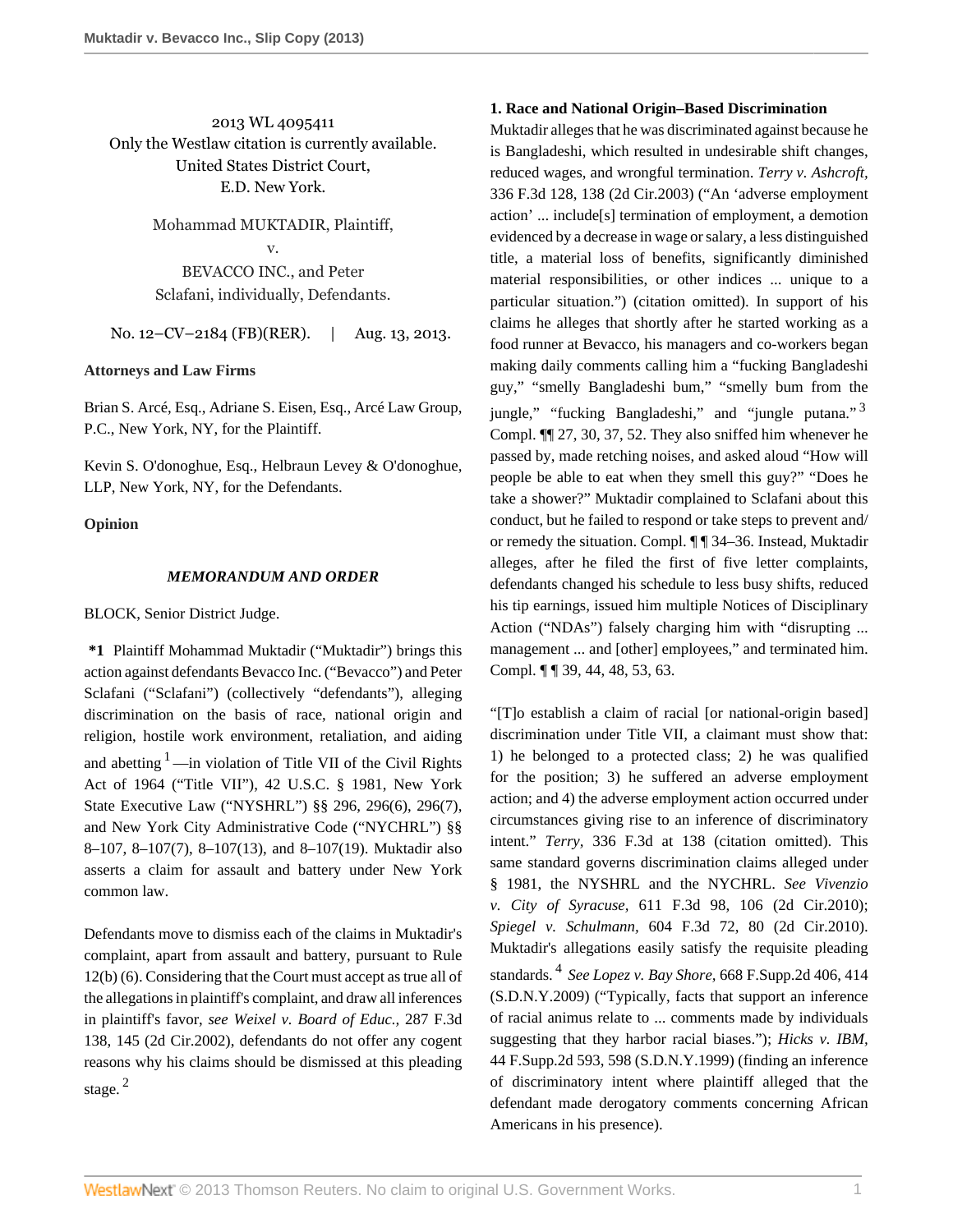2013 WL 4095411 Only the Westlaw citation is currently available. United States District Court, E.D. New York.

> Mohammad MUKTADIR, Plaintiff, v. BEVACCO INC., and Peter

Sclafani, individually, Defendants.

No. 12–CV–2184 (FB)(RER). | Aug. 13, 2013.

## **Attorneys and Law Firms**

[Brian S. Arcé, Esq.,](http://www.westlaw.com/Link/Document/FullText?findType=h&pubNum=176284&cite=0428886701&originatingDoc=I0c7dd2b5057211e3a98ec867961a22de&refType=RQ&originationContext=document&vr=3.0&rs=cblt1.0&transitionType=DocumentItem&contextData=(sc.UserEnteredCitation)) [Adriane S. Eisen, Esq.](http://www.westlaw.com/Link/Document/FullText?findType=h&pubNum=176284&cite=0454995601&originatingDoc=I0c7dd2b5057211e3a98ec867961a22de&refType=RQ&originationContext=document&vr=3.0&rs=cblt1.0&transitionType=DocumentItem&contextData=(sc.UserEnteredCitation)), Arcé Law Group, P.C., New York, NY, for the Plaintiff.

Kevin S. O'donoghue, Esq., Helbraun Levey & O'donoghue, LLP, New York, NY, for the Defendants.

## **Opinion**

### *MEMORANDUM AND ORDER*

[BLOCK,](http://www.westlaw.com/Link/Document/FullText?findType=h&pubNum=176284&cite=0254154901&originatingDoc=I0c7dd2b5057211e3a98ec867961a22de&refType=RQ&originationContext=document&vr=3.0&rs=cblt1.0&transitionType=DocumentItem&contextData=(sc.UserEnteredCitation)) Senior District Judge.

<span id="page-0-0"></span>**\*1** Plaintiff Mohammad Muktadir ("Muktadir") brings this action against defendants Bevacco Inc. ("Bevacco") and Peter Sclafani ("Sclafani") (collectively "defendants"), alleging discrimination on the basis of race, national origin and religion, hostile work environment, retaliation, and aiding and abetting  $1$ —in violation of Title VII of the Civil Rights Act of 1964 ("Title VII"), [42 U.S.C. § 1981,](http://www.westlaw.com/Link/Document/FullText?findType=L&pubNum=1000546&cite=42USCAS1981&originatingDoc=I0c7dd2b5057211e3a98ec867961a22de&refType=LQ&originationContext=document&vr=3.0&rs=cblt1.0&transitionType=DocumentItem&contextData=(sc.UserEnteredCitation)) [New York](http://www.westlaw.com/Link/Document/FullText?findType=L&pubNum=1000078&cite=NYEXS296&originatingDoc=I0c7dd2b5057211e3a98ec867961a22de&refType=LQ&originationContext=document&vr=3.0&rs=cblt1.0&transitionType=DocumentItem&contextData=(sc.UserEnteredCitation)) [State Executive Law \("NYSHRL"\) §§ 296](http://www.westlaw.com/Link/Document/FullText?findType=L&pubNum=1000078&cite=NYEXS296&originatingDoc=I0c7dd2b5057211e3a98ec867961a22de&refType=LQ&originationContext=document&vr=3.0&rs=cblt1.0&transitionType=DocumentItem&contextData=(sc.UserEnteredCitation)), [296\(6\), 296\(7\)](http://www.westlaw.com/Link/Document/FullText?findType=L&pubNum=1000078&cite=NYEXS296&originatingDoc=I0c7dd2b5057211e3a98ec867961a22de&refType=LQ&originationContext=document&vr=3.0&rs=cblt1.0&transitionType=DocumentItem&contextData=(sc.UserEnteredCitation)), and [New York City Administrative Code \("NYCHRL"\) §§](http://www.westlaw.com/Link/Document/FullText?findType=L&pubNum=1015598&cite=NYCS8-107&originatingDoc=I0c7dd2b5057211e3a98ec867961a22de&refType=LQ&originationContext=document&vr=3.0&rs=cblt1.0&transitionType=DocumentItem&contextData=(sc.UserEnteredCitation)) [8–107](http://www.westlaw.com/Link/Document/FullText?findType=L&pubNum=1015598&cite=NYCS8-107&originatingDoc=I0c7dd2b5057211e3a98ec867961a22de&refType=LQ&originationContext=document&vr=3.0&rs=cblt1.0&transitionType=DocumentItem&contextData=(sc.UserEnteredCitation)), [8–107\(7\),](http://www.westlaw.com/Link/Document/FullText?findType=L&pubNum=1015598&cite=NYCS8-107&originatingDoc=I0c7dd2b5057211e3a98ec867961a22de&refType=SP&originationContext=document&vr=3.0&rs=cblt1.0&transitionType=DocumentItem&contextData=(sc.UserEnteredCitation)#co_pp_794b00004e3d1) [8–107\(13\)](http://www.westlaw.com/Link/Document/FullText?findType=L&pubNum=1015598&cite=NYCS8-107&originatingDoc=I0c7dd2b5057211e3a98ec867961a22de&refType=SP&originationContext=document&vr=3.0&rs=cblt1.0&transitionType=DocumentItem&contextData=(sc.UserEnteredCitation)#co_pp_aac5000007ec7), and [8–107\(19\)](http://www.westlaw.com/Link/Document/FullText?findType=L&pubNum=1015598&cite=NYCS8-107&originatingDoc=I0c7dd2b5057211e3a98ec867961a22de&refType=SP&originationContext=document&vr=3.0&rs=cblt1.0&transitionType=DocumentItem&contextData=(sc.UserEnteredCitation)#co_pp_828f000092994). Muktadir also asserts a claim for assault and battery under New York common law.

<span id="page-0-1"></span>Defendants move to dismiss each of the claims in Muktadir's complaint, apart from assault and battery, pursuant to Rule 12(b) (6). Considering that the Court must accept as true all of the allegations in plaintiff's complaint, and draw all inferences in plaintiff's favor, *see [Weixel v. Board of Educ.,](http://www.westlaw.com/Link/Document/FullText?findType=Y&serNum=2002224467&pubNum=506&originationContext=document&vr=3.0&rs=cblt1.0&transitionType=DocumentItem&contextData=(sc.UserEnteredCitation)#co_pp_sp_506_145)* 287 F.3d [138, 145 \(2d Cir.2002\)](http://www.westlaw.com/Link/Document/FullText?findType=Y&serNum=2002224467&pubNum=506&originationContext=document&vr=3.0&rs=cblt1.0&transitionType=DocumentItem&contextData=(sc.UserEnteredCitation)#co_pp_sp_506_145), defendants do not offer any cogent reasons why his claims should be dismissed at this pleading stage.<sup>[2](#page-2-1)</sup>

## **1. Race and National Origin–Based Discrimination**

<span id="page-0-2"></span>Muktadir alleges that he was discriminated against because he is Bangladeshi, which resulted in undesirable shift changes, reduced wages, and wrongful termination. *[Terry v. Ashcroft,](http://www.westlaw.com/Link/Document/FullText?findType=Y&serNum=2003498307&pubNum=506&originationContext=document&vr=3.0&rs=cblt1.0&transitionType=DocumentItem&contextData=(sc.UserEnteredCitation)#co_pp_sp_506_138)* [336 F.3d 128, 138 \(2d Cir.2003\)](http://www.westlaw.com/Link/Document/FullText?findType=Y&serNum=2003498307&pubNum=506&originationContext=document&vr=3.0&rs=cblt1.0&transitionType=DocumentItem&contextData=(sc.UserEnteredCitation)#co_pp_sp_506_138) ("An 'adverse employment action' ... include[s] termination of employment, a demotion evidenced by a decrease in wage or salary, a less distinguished title, a material loss of benefits, significantly diminished material responsibilities, or other indices ... unique to a particular situation.") (citation omitted). In support of his claims he alleges that shortly after he started working as a food runner at Bevacco, his managers and co-workers began making daily comments calling him a "fucking Bangladeshi guy," "smelly Bangladeshi bum," "smelly bum from the jungle," "fucking Bangladeshi," and "jungle putana."  $3$ Compl. ¶¶ 27, 30, 37, 52. They also sniffed him whenever he passed by, made retching noises, and asked aloud "How will people be able to eat when they smell this guy?" "Does he take a shower?" Muktadir complained to Sclafani about this conduct, but he failed to respond or take steps to prevent and/ or remedy the situation. Compl. ¶ ¶ 34–36. Instead, Muktadir alleges, after he filed the first of five letter complaints, defendants changed his schedule to less busy shifts, reduced his tip earnings, issued him multiple Notices of Disciplinary Action ("NDAs") falsely charging him with "disrupting ... management ... and [other] employees," and terminated him. Compl. ¶ ¶ 39, 44, 48, 53, 63.

<span id="page-0-3"></span>"[T]o establish a claim of racial [or national-origin based] discrimination under Title VII, a claimant must show that: 1) he belonged to a protected class; 2) he was qualified for the position; 3) he suffered an adverse employment action; and 4) the adverse employment action occurred under circumstances giving rise to an inference of discriminatory intent." *Terry,* [336 F.3d at 138](http://www.westlaw.com/Link/Document/FullText?findType=Y&serNum=2003498307&pubNum=506&originationContext=document&vr=3.0&rs=cblt1.0&transitionType=DocumentItem&contextData=(sc.UserEnteredCitation)#co_pp_sp_506_138) (citation omitted). This same standard governs discrimination claims alleged under § 1981, the NYSHRL and the NYCHRL. *See [Vivenzio](http://www.westlaw.com/Link/Document/FullText?findType=Y&serNum=2022443823&pubNum=506&originationContext=document&vr=3.0&rs=cblt1.0&transitionType=DocumentItem&contextData=(sc.UserEnteredCitation)#co_pp_sp_506_106) v. City of Syracuse,* [611 F.3d 98, 106 \(2d Cir.2010\)](http://www.westlaw.com/Link/Document/FullText?findType=Y&serNum=2022443823&pubNum=506&originationContext=document&vr=3.0&rs=cblt1.0&transitionType=DocumentItem&contextData=(sc.UserEnteredCitation)#co_pp_sp_506_106); *Spiegel v. Schulmann,* [604 F.3d 72, 80 \(2d Cir.2010\).](http://www.westlaw.com/Link/Document/FullText?findType=Y&serNum=2021925835&pubNum=506&originationContext=document&vr=3.0&rs=cblt1.0&transitionType=DocumentItem&contextData=(sc.UserEnteredCitation)#co_pp_sp_506_80) Muktadir's allegations easily satisfy the requisite pleading standards. [4](#page-3-1) *See Lopez v. Bay Shore,* [668 F.Supp.2d 406, 414](http://www.westlaw.com/Link/Document/FullText?findType=Y&serNum=2020335696&pubNum=4637&originationContext=document&vr=3.0&rs=cblt1.0&transitionType=DocumentItem&contextData=(sc.UserEnteredCitation)#co_pp_sp_4637_414) [\(S.D.N.Y.2009\)](http://www.westlaw.com/Link/Document/FullText?findType=Y&serNum=2020335696&pubNum=4637&originationContext=document&vr=3.0&rs=cblt1.0&transitionType=DocumentItem&contextData=(sc.UserEnteredCitation)#co_pp_sp_4637_414) ("Typically, facts that support an inference of racial animus relate to ... comments made by individuals suggesting that they harbor racial biases."); *[Hicks v. IBM,](http://www.westlaw.com/Link/Document/FullText?findType=Y&serNum=1999106055&pubNum=4637&originationContext=document&vr=3.0&rs=cblt1.0&transitionType=DocumentItem&contextData=(sc.UserEnteredCitation)#co_pp_sp_4637_598)* [44 F.Supp.2d 593, 598 \(S.D.N.Y.1999\)](http://www.westlaw.com/Link/Document/FullText?findType=Y&serNum=1999106055&pubNum=4637&originationContext=document&vr=3.0&rs=cblt1.0&transitionType=DocumentItem&contextData=(sc.UserEnteredCitation)#co_pp_sp_4637_598) (finding an inference of discriminatory intent where plaintiff alleged that the defendant made derogatory comments concerning African Americans in his presence).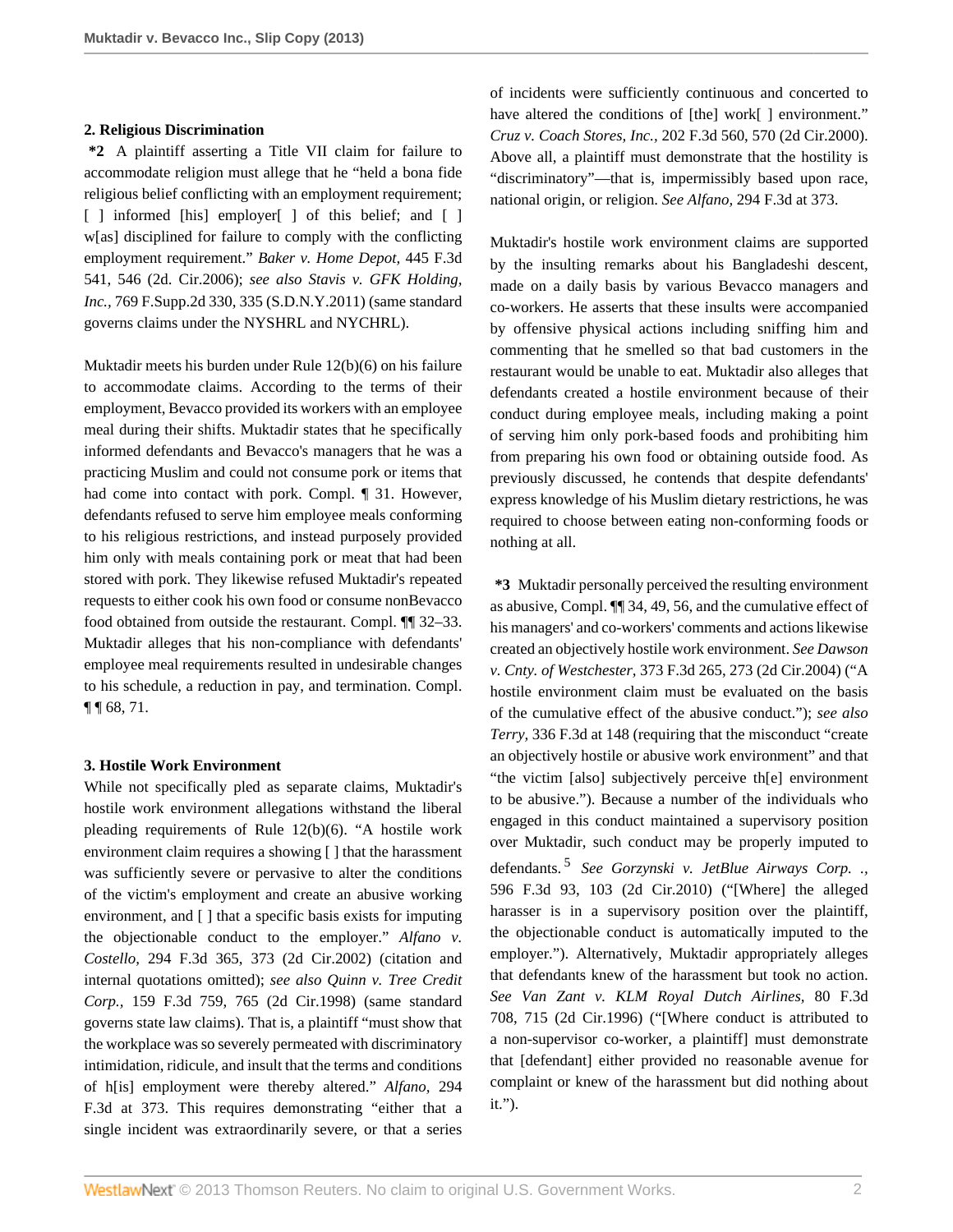#### **2. Religious Discrimination**

**\*2** A plaintiff asserting a Title VII claim for failure to accommodate religion must allege that he "held a bona fide religious belief conflicting with an employment requirement; [ ] informed [his] employer[ ] of this belief; and [ ] w[as] disciplined for failure to comply with the conflicting employment requirement." *[Baker v. Home Depot,](http://www.westlaw.com/Link/Document/FullText?findType=Y&serNum=2008956354&pubNum=506&originationContext=document&vr=3.0&rs=cblt1.0&transitionType=DocumentItem&contextData=(sc.UserEnteredCitation)#co_pp_sp_506_546)* 445 F.3d [541, 546 \(2d. Cir.2006\);](http://www.westlaw.com/Link/Document/FullText?findType=Y&serNum=2008956354&pubNum=506&originationContext=document&vr=3.0&rs=cblt1.0&transitionType=DocumentItem&contextData=(sc.UserEnteredCitation)#co_pp_sp_506_546) *see also [Stavis v. GFK Holding,](http://www.westlaw.com/Link/Document/FullText?findType=Y&serNum=2024531041&pubNum=4637&originationContext=document&vr=3.0&rs=cblt1.0&transitionType=DocumentItem&contextData=(sc.UserEnteredCitation)#co_pp_sp_4637_335) Inc.,* [769 F.Supp.2d 330, 335 \(S.D.N.Y.2011\)](http://www.westlaw.com/Link/Document/FullText?findType=Y&serNum=2024531041&pubNum=4637&originationContext=document&vr=3.0&rs=cblt1.0&transitionType=DocumentItem&contextData=(sc.UserEnteredCitation)#co_pp_sp_4637_335) (same standard governs claims under the NYSHRL and NYCHRL).

Muktadir meets his burden under Rule 12(b)(6) on his failure to accommodate claims. According to the terms of their employment, Bevacco provided its workers with an employee meal during their shifts. Muktadir states that he specifically informed defendants and Bevacco's managers that he was a practicing Muslim and could not consume pork or items that had come into contact with pork. Compl. ¶ 31. However, defendants refused to serve him employee meals conforming to his religious restrictions, and instead purposely provided him only with meals containing pork or meat that had been stored with pork. They likewise refused Muktadir's repeated requests to either cook his own food or consume nonBevacco food obtained from outside the restaurant. Compl. ¶¶ 32–33. Muktadir alleges that his non-compliance with defendants' employee meal requirements resulted in undesirable changes to his schedule, a reduction in pay, and termination. Compl. ¶ ¶ 68, 71.

## **3. Hostile Work Environment**

While not specifically pled as separate claims, Muktadir's hostile work environment allegations withstand the liberal pleading requirements of Rule 12(b)(6). "A hostile work environment claim requires a showing [ ] that the harassment was sufficiently severe or pervasive to alter the conditions of the victim's employment and create an abusive working environment, and [] that a specific basis exists for imputing the objectionable conduct to the employer." *[Alfano v.](http://www.westlaw.com/Link/Document/FullText?findType=Y&serNum=2002393528&pubNum=506&originationContext=document&vr=3.0&rs=cblt1.0&transitionType=DocumentItem&contextData=(sc.UserEnteredCitation)#co_pp_sp_506_373) Costello,* [294 F.3d 365, 373 \(2d Cir.2002\)](http://www.westlaw.com/Link/Document/FullText?findType=Y&serNum=2002393528&pubNum=506&originationContext=document&vr=3.0&rs=cblt1.0&transitionType=DocumentItem&contextData=(sc.UserEnteredCitation)#co_pp_sp_506_373) (citation and internal quotations omitted); *see also [Quinn v. Tree Credit](http://www.westlaw.com/Link/Document/FullText?findType=Y&serNum=1998226483&pubNum=506&originationContext=document&vr=3.0&rs=cblt1.0&transitionType=DocumentItem&contextData=(sc.UserEnteredCitation)#co_pp_sp_506_765) Corp.,* [159 F.3d 759, 765 \(2d Cir.1998\)](http://www.westlaw.com/Link/Document/FullText?findType=Y&serNum=1998226483&pubNum=506&originationContext=document&vr=3.0&rs=cblt1.0&transitionType=DocumentItem&contextData=(sc.UserEnteredCitation)#co_pp_sp_506_765) (same standard governs state law claims). That is, a plaintiff "must show that the workplace was so severely permeated with discriminatory intimidation, ridicule, and insult that the terms and conditions of h[is] employment were thereby altered." *[Alfano,](http://www.westlaw.com/Link/Document/FullText?findType=Y&serNum=2002393528&pubNum=506&originationContext=document&vr=3.0&rs=cblt1.0&transitionType=DocumentItem&contextData=(sc.UserEnteredCitation)#co_pp_sp_506_373)* 294 [F.3d at 373.](http://www.westlaw.com/Link/Document/FullText?findType=Y&serNum=2002393528&pubNum=506&originationContext=document&vr=3.0&rs=cblt1.0&transitionType=DocumentItem&contextData=(sc.UserEnteredCitation)#co_pp_sp_506_373) This requires demonstrating "either that a single incident was extraordinarily severe, or that a series of incidents were sufficiently continuous and concerted to have altered the conditions of [the] work[] environment." *Cruz v. Coach Stores, Inc.,* [202 F.3d 560, 570 \(2d Cir.2000\).](http://www.westlaw.com/Link/Document/FullText?findType=Y&serNum=2000044767&pubNum=506&originationContext=document&vr=3.0&rs=cblt1.0&transitionType=DocumentItem&contextData=(sc.UserEnteredCitation)#co_pp_sp_506_570) Above all, a plaintiff must demonstrate that the hostility is "discriminatory"—that is, impermissibly based upon race, national origin, or religion. *See Alfano,* [294 F.3d at 373](http://www.westlaw.com/Link/Document/FullText?findType=Y&serNum=2002393528&pubNum=506&originationContext=document&vr=3.0&rs=cblt1.0&transitionType=DocumentItem&contextData=(sc.UserEnteredCitation)#co_pp_sp_506_373).

Muktadir's hostile work environment claims are supported by the insulting remarks about his Bangladeshi descent, made on a daily basis by various Bevacco managers and co-workers. He asserts that these insults were accompanied by offensive physical actions including sniffing him and commenting that he smelled so that bad customers in the restaurant would be unable to eat. Muktadir also alleges that defendants created a hostile environment because of their conduct during employee meals, including making a point of serving him only pork-based foods and prohibiting him from preparing his own food or obtaining outside food. As previously discussed, he contends that despite defendants' express knowledge of his Muslim dietary restrictions, he was required to choose between eating non-conforming foods or nothing at all.

<span id="page-1-0"></span>**\*3** Muktadir personally perceived the resulting environment as abusive, Compl. ¶¶ 34, 49, 56, and the cumulative effect of his managers' and co-workers' comments and actions likewise created an objectively hostile work environment. *See [Dawson](http://www.westlaw.com/Link/Document/FullText?findType=Y&serNum=2004582225&pubNum=506&originationContext=document&vr=3.0&rs=cblt1.0&transitionType=DocumentItem&contextData=(sc.UserEnteredCitation)#co_pp_sp_506_273) v. Cnty. of Westchester,* [373 F.3d 265, 273 \(2d Cir.2004\)](http://www.westlaw.com/Link/Document/FullText?findType=Y&serNum=2004582225&pubNum=506&originationContext=document&vr=3.0&rs=cblt1.0&transitionType=DocumentItem&contextData=(sc.UserEnteredCitation)#co_pp_sp_506_273) ("A hostile environment claim must be evaluated on the basis of the cumulative effect of the abusive conduct."); *see also Terry,* [336 F.3d at 148](http://www.westlaw.com/Link/Document/FullText?findType=Y&serNum=2003498307&pubNum=506&originationContext=document&vr=3.0&rs=cblt1.0&transitionType=DocumentItem&contextData=(sc.UserEnteredCitation)#co_pp_sp_506_148) (requiring that the misconduct "create an objectively hostile or abusive work environment" and that "the victim [also] subjectively perceive th[e] environment to be abusive."). Because a number of the individuals who engaged in this conduct maintained a supervisory position over Muktadir, such conduct may be properly imputed to defendants. [5](#page-3-2) *See [Gorzynski v. JetBlue Airways Corp. .,](http://www.westlaw.com/Link/Document/FullText?findType=Y&serNum=2021388610&pubNum=506&originationContext=document&vr=3.0&rs=cblt1.0&transitionType=DocumentItem&contextData=(sc.UserEnteredCitation)#co_pp_sp_506_103)* [596 F.3d 93, 103 \(2d Cir.2010\)](http://www.westlaw.com/Link/Document/FullText?findType=Y&serNum=2021388610&pubNum=506&originationContext=document&vr=3.0&rs=cblt1.0&transitionType=DocumentItem&contextData=(sc.UserEnteredCitation)#co_pp_sp_506_103) ("[Where] the alleged harasser is in a supervisory position over the plaintiff, the objectionable conduct is automatically imputed to the employer."). Alternatively, Muktadir appropriately alleges that defendants knew of the harassment but took no action. *See [Van Zant v. KLM Royal Dutch Airlines,](http://www.westlaw.com/Link/Document/FullText?findType=Y&serNum=1996084816&pubNum=506&originationContext=document&vr=3.0&rs=cblt1.0&transitionType=DocumentItem&contextData=(sc.UserEnteredCitation)#co_pp_sp_506_715)* 80 F.3d [708, 715 \(2d Cir.1996\)](http://www.westlaw.com/Link/Document/FullText?findType=Y&serNum=1996084816&pubNum=506&originationContext=document&vr=3.0&rs=cblt1.0&transitionType=DocumentItem&contextData=(sc.UserEnteredCitation)#co_pp_sp_506_715) ("[Where conduct is attributed to a non-supervisor co-worker, a plaintiff] must demonstrate that [defendant] either provided no reasonable avenue for complaint or knew of the harassment but did nothing about it.").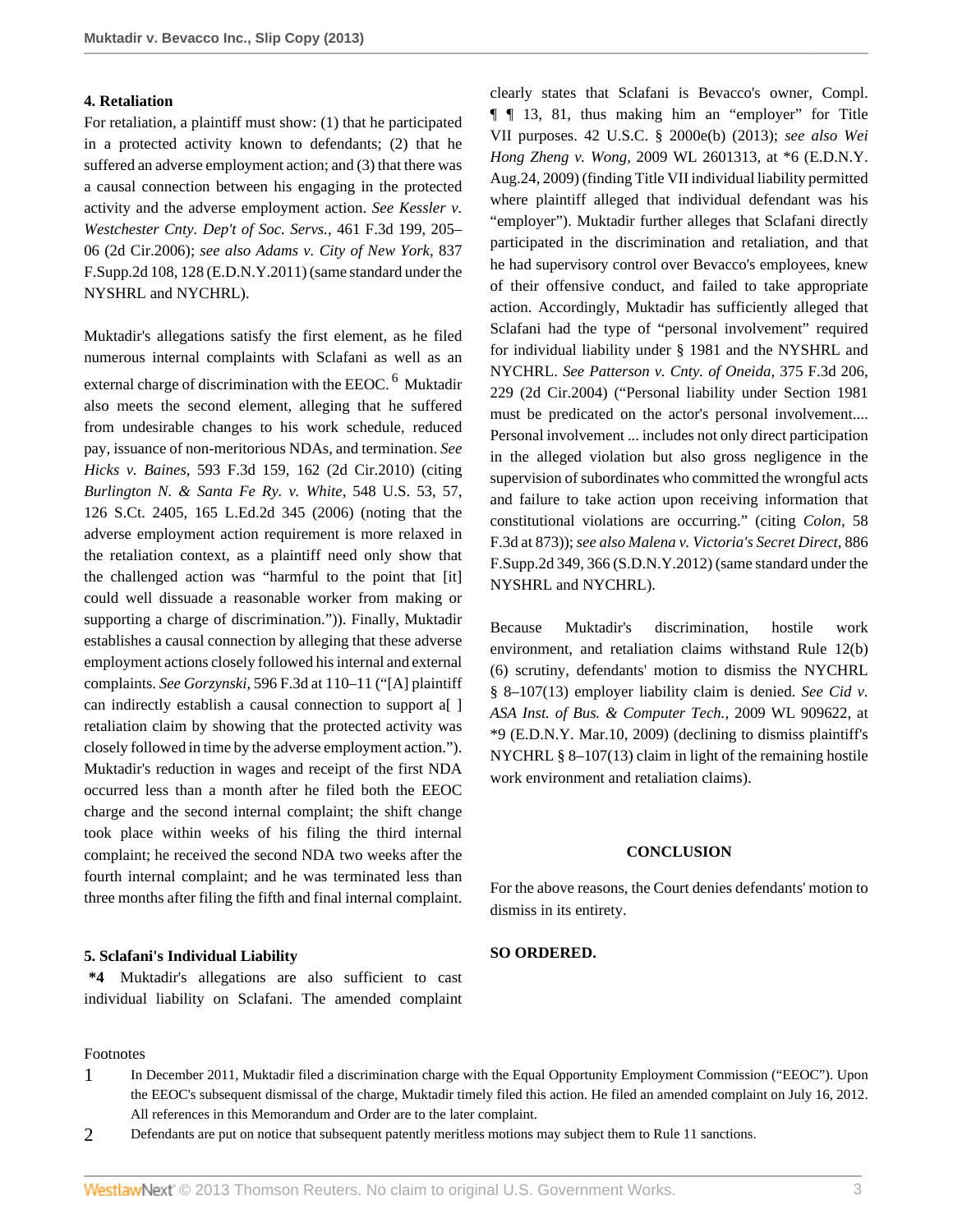### **4. Retaliation**

For retaliation, a plaintiff must show: (1) that he participated in a protected activity known to defendants; (2) that he suffered an adverse employment action; and (3) that there was a causal connection between his engaging in the protected activity and the adverse employment action. *See [Kessler v.](http://www.westlaw.com/Link/Document/FullText?findType=Y&serNum=2009774323&pubNum=506&originationContext=document&vr=3.0&rs=cblt1.0&transitionType=DocumentItem&contextData=(sc.UserEnteredCitation)#co_pp_sp_506_205) [Westchester Cnty. Dep't of Soc. Servs.,](http://www.westlaw.com/Link/Document/FullText?findType=Y&serNum=2009774323&pubNum=506&originationContext=document&vr=3.0&rs=cblt1.0&transitionType=DocumentItem&contextData=(sc.UserEnteredCitation)#co_pp_sp_506_205)* 461 F.3d 199, 205– [06 \(2d Cir.2006\)](http://www.westlaw.com/Link/Document/FullText?findType=Y&serNum=2009774323&pubNum=506&originationContext=document&vr=3.0&rs=cblt1.0&transitionType=DocumentItem&contextData=(sc.UserEnteredCitation)#co_pp_sp_506_205); *see also [Adams v. City of New York,](http://www.westlaw.com/Link/Document/FullText?findType=Y&serNum=2026215341&pubNum=4637&originationContext=document&vr=3.0&rs=cblt1.0&transitionType=DocumentItem&contextData=(sc.UserEnteredCitation)#co_pp_sp_4637_128)* 837 [F.Supp.2d 108, 128 \(E.D.N.Y.2011\)](http://www.westlaw.com/Link/Document/FullText?findType=Y&serNum=2026215341&pubNum=4637&originationContext=document&vr=3.0&rs=cblt1.0&transitionType=DocumentItem&contextData=(sc.UserEnteredCitation)#co_pp_sp_4637_128) (same standard under the NYSHRL and NYCHRL).

Muktadir's allegations satisfy the first element, as he filed numerous internal complaints with Sclafani as well as an external charge of discrimination with the EEOC.<sup>[6](#page-3-3)</sup> Muktadir also meets the second element, alleging that he suffered from undesirable changes to his work schedule, reduced pay, issuance of non-meritorious NDAs, and termination. *See Hicks v. Baines,* [593 F.3d 159, 162 \(2d Cir.2010\)](http://www.westlaw.com/Link/Document/FullText?findType=Y&serNum=2021257863&pubNum=506&originationContext=document&vr=3.0&rs=cblt1.0&transitionType=DocumentItem&contextData=(sc.UserEnteredCitation)#co_pp_sp_506_162) (citing *[Burlington N. & Santa Fe Ry. v. White,](http://www.westlaw.com/Link/Document/FullText?findType=Y&serNum=2009404759&pubNum=708&originationContext=document&vr=3.0&rs=cblt1.0&transitionType=DocumentItem&contextData=(sc.UserEnteredCitation))* 548 U.S. 53, 57, [126 S.Ct. 2405, 165 L.Ed.2d 345 \(2006\)](http://www.westlaw.com/Link/Document/FullText?findType=Y&serNum=2009404759&pubNum=708&originationContext=document&vr=3.0&rs=cblt1.0&transitionType=DocumentItem&contextData=(sc.UserEnteredCitation)) (noting that the adverse employment action requirement is more relaxed in the retaliation context, as a plaintiff need only show that the challenged action was "harmful to the point that [it] could well dissuade a reasonable worker from making or supporting a charge of discrimination.")). Finally, Muktadir establishes a causal connection by alleging that these adverse employment actions closely followed his internal and external complaints. *See Gorzynski,* [596 F.3d at 110–11](http://www.westlaw.com/Link/Document/FullText?findType=Y&serNum=2021388610&pubNum=506&originationContext=document&vr=3.0&rs=cblt1.0&transitionType=DocumentItem&contextData=(sc.UserEnteredCitation)#co_pp_sp_506_110) ("[A] plaintiff can indirectly establish a causal connection to support a[ ] retaliation claim by showing that the protected activity was closely followed in time by the adverse employment action."). Muktadir's reduction in wages and receipt of the first NDA occurred less than a month after he filed both the EEOC charge and the second internal complaint; the shift change took place within weeks of his filing the third internal complaint; he received the second NDA two weeks after the fourth internal complaint; and he was terminated less than three months after filing the fifth and final internal complaint.

# **5. Sclafani's Individual Liability**

**\*4** Muktadir's allegations are also sufficient to cast individual liability on Sclafani. The amended complaint clearly states that Sclafani is Bevacco's owner, Compl. ¶ ¶ 13, 81, thus making him an "employer" for Title VII purposes. [42 U.S.C. § 2000e\(b\) \(2013\)](http://www.westlaw.com/Link/Document/FullText?findType=L&pubNum=1000546&cite=42USCAS2000E&originationContext=document&vr=3.0&rs=cblt1.0&transitionType=DocumentItem&contextData=(sc.UserEnteredCitation)#co_pp_a83b000018c76); *see also [Wei](http://www.westlaw.com/Link/Document/FullText?findType=Y&serNum=2019678656&pubNum=0000999&originationContext=document&vr=3.0&rs=cblt1.0&transitionType=DocumentItem&contextData=(sc.UserEnteredCitation)) Hong Zheng v. Wong,* [2009 WL 2601313, at \\*6 \(E.D.N.Y.](http://www.westlaw.com/Link/Document/FullText?findType=Y&serNum=2019678656&pubNum=0000999&originationContext=document&vr=3.0&rs=cblt1.0&transitionType=DocumentItem&contextData=(sc.UserEnteredCitation)) [Aug.24, 2009\)](http://www.westlaw.com/Link/Document/FullText?findType=Y&serNum=2019678656&pubNum=0000999&originationContext=document&vr=3.0&rs=cblt1.0&transitionType=DocumentItem&contextData=(sc.UserEnteredCitation)) (finding Title VII individual liability permitted where plaintiff alleged that individual defendant was his "employer"). Muktadir further alleges that Sclafani directly participated in the discrimination and retaliation, and that he had supervisory control over Bevacco's employees, knew of their offensive conduct, and failed to take appropriate action. Accordingly, Muktadir has sufficiently alleged that Sclafani had the type of "personal involvement" required for individual liability under § 1981 and the NYSHRL and NYCHRL. *See [Patterson v. Cnty. of Oneida,](http://www.westlaw.com/Link/Document/FullText?findType=Y&serNum=2004701830&pubNum=506&originationContext=document&vr=3.0&rs=cblt1.0&transitionType=DocumentItem&contextData=(sc.UserEnteredCitation)#co_pp_sp_506_229)* 375 F.3d 206, [229 \(2d Cir.2004\)](http://www.westlaw.com/Link/Document/FullText?findType=Y&serNum=2004701830&pubNum=506&originationContext=document&vr=3.0&rs=cblt1.0&transitionType=DocumentItem&contextData=(sc.UserEnteredCitation)#co_pp_sp_506_229) ("Personal liability under [Section 1981](http://www.westlaw.com/Link/Document/FullText?findType=L&pubNum=1000546&cite=42USCAS1981&originatingDoc=I0c7dd2b5057211e3a98ec867961a22de&refType=LQ&originationContext=document&vr=3.0&rs=cblt1.0&transitionType=DocumentItem&contextData=(sc.UserEnteredCitation)) must be predicated on the actor's personal involvement.... Personal involvement ... includes not only direct participation in the alleged violation but also gross negligence in the supervision of subordinates who committed the wrongful acts and failure to take action upon receiving information that constitutional violations are occurring." (citing *Colon,* 58 F.3d at 873)); *see also [Malena v. Victoria's Secret Direct,](http://www.westlaw.com/Link/Document/FullText?findType=Y&serNum=2028431987&pubNum=4637&originationContext=document&vr=3.0&rs=cblt1.0&transitionType=DocumentItem&contextData=(sc.UserEnteredCitation)#co_pp_sp_4637_366)* 886 [F.Supp.2d 349, 366 \(S.D.N.Y.2012\)](http://www.westlaw.com/Link/Document/FullText?findType=Y&serNum=2028431987&pubNum=4637&originationContext=document&vr=3.0&rs=cblt1.0&transitionType=DocumentItem&contextData=(sc.UserEnteredCitation)#co_pp_sp_4637_366) (same standard under the NYSHRL and NYCHRL).

<span id="page-2-2"></span>Because Muktadir's discrimination, hostile work environment, and retaliation claims withstand Rule 12(b) (6) scrutiny, defendants' motion to dismiss the NYCHRL [§ 8–107\(13\)](http://www.westlaw.com/Link/Document/FullText?findType=L&pubNum=1015598&cite=NYCS8-107&originatingDoc=I0c7dd2b5057211e3a98ec867961a22de&refType=SP&originationContext=document&vr=3.0&rs=cblt1.0&transitionType=DocumentItem&contextData=(sc.UserEnteredCitation)#co_pp_aac5000007ec7) employer liability claim is denied. *See [Cid v.](http://www.westlaw.com/Link/Document/FullText?findType=Y&serNum=2018545574&pubNum=999&originationContext=document&vr=3.0&rs=cblt1.0&transitionType=DocumentItem&contextData=(sc.UserEnteredCitation)) [ASA Inst. of Bus. & Computer Tech.,](http://www.westlaw.com/Link/Document/FullText?findType=Y&serNum=2018545574&pubNum=999&originationContext=document&vr=3.0&rs=cblt1.0&transitionType=DocumentItem&contextData=(sc.UserEnteredCitation))* 2009 WL 909622, at [\\*9 \(E.D.N.Y. Mar.10, 2009\)](http://www.westlaw.com/Link/Document/FullText?findType=Y&serNum=2018545574&pubNum=999&originationContext=document&vr=3.0&rs=cblt1.0&transitionType=DocumentItem&contextData=(sc.UserEnteredCitation)) (declining to dismiss plaintiff's NYCHRL [§ 8–107\(13\)](http://www.westlaw.com/Link/Document/FullText?findType=L&pubNum=1015598&cite=NYCS8-107&originatingDoc=I0c7dd2b5057211e3a98ec867961a22de&refType=SP&originationContext=document&vr=3.0&rs=cblt1.0&transitionType=DocumentItem&contextData=(sc.UserEnteredCitation)#co_pp_aac5000007ec7) claim in light of the remaining hostile work environment and retaliation claims).

#### **CONCLUSION**

For the above reasons, the Court denies defendants' motion to dismiss in its entirety.

#### **SO ORDERED.**

Footnotes

- <span id="page-2-0"></span>[1](#page-0-0) In December 2011, Muktadir filed a discrimination charge with the Equal Opportunity Employment Commission ("EEOC"). Upon the EEOC's subsequent dismissal of the charge, Muktadir timely filed this action. He filed an amended complaint on July 16, 2012. All references in this Memorandum and Order are to the later complaint.
- <span id="page-2-1"></span>[2](#page-0-1) Defendants are put on notice that subsequent patently meritless motions may subject them to Rule 11 sanctions.